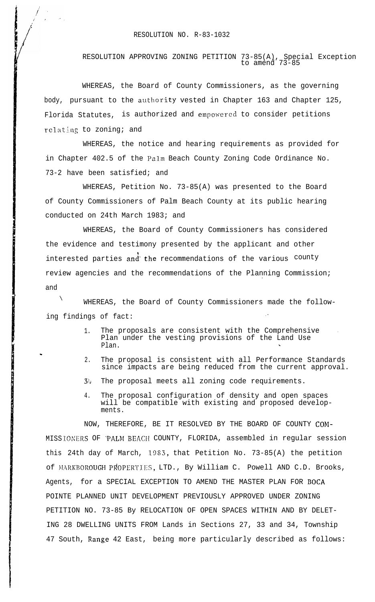## RESOLUTION NO. R-83-1032

RESOLUTION APPROVING ZONING PETITION 73-85(A), Special Exception to amend 73-85

WHEREAS, the Board of County Commissioners, as the governing body, pursuant to the authority vested in Chapter 163 and Chapter 125, Florida Statutes, is authorized and empowered to consider petitions relating to zoning; and

WHEREAS, the notice and hearing requirements as provided for in Chapter 402.5 of the Palm Beach County Zoning Code Ordinance No. 73-2 have been satisfied; and

WHEREAS, Petition No. 73-85(A) was presented to the Board of County Commissioners of Palm Beach County at its public hearing conducted on 24th March 1983; and

WHEREAS, the Board of County Commissioners has considered the evidence and testimony presented by the applicant and other interested parties and the recommendations of the various county review agencies and the recommendations of the Planning Commission; and

 $\lambda$ WHEREAS, the Board of County Commissioners made the following findings of fact:

.

- 1. The proposals are consistent with the Comprehensive . Plan under the vesting provisions of the Land Use Plan.
- 2. The proposal is consistent with all Performance Standards since impacts are being reduced from the current approval.
- $3$ . The proposal meets all zoning code requirements.
- 4. The proposal configuration of density and open spaces will be compatible with existing and proposed developments.

NOW, THEREFORE, BE IT RESOLVED BY THE BOARD OF COUNTY COM-MISSIONERS OF `PALM BEACH COUNTY, FLORIDA, assembled in regular session this 24th day of March, '1983, that Petition No. 73-85(A) the petition of MARKBOROUGH PROPERTIES, LTD., By William C. Powell AND C.D. Brooks, Agents, for a SPECIAL EXCEPTION TO AMEND THE MASTER PLAN FOR BOCA POINTE PLANNED UNIT DEVELOPMENT PREVIOUSLY APPROVED UNDER ZONING PETITION NO. 73-85 By RELOCATION OF OPEN SPACES WITHIN AND BY DELET-ING 28 DWELLING UNITS FROM Lands in Sections 27, 33 and 34, Township 47 South, Range 42 East, being more particularly described as follows: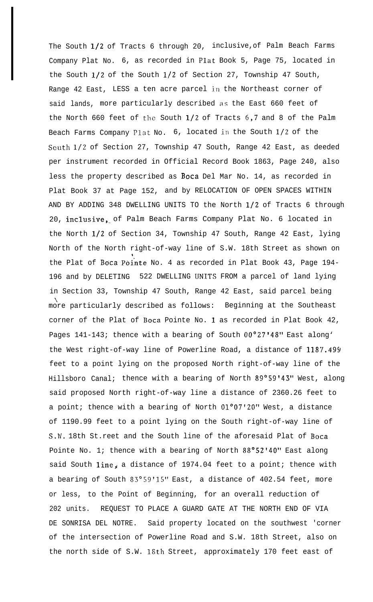The South 1/2 of Tracts 6 through 20, inclusive, of Palm Beach Farms Company Plat No. 6, as recorded in Plat Book 5, Page 75, located in the South l/2 of the South l/2 of Section 27, Township 47 South, Range 42 East, LESS a ten acre parcel in the Northeast corner of said lands, more particularly described as the East 660 feet of the North 660 feet of the South  $1/2$  of Tracts  $6,7$  and 8 of the Palm Beach Farms Company Plat No.  $6$ , located in the South  $1/2$  of the Scuth l/2 of Section 27, Township 47 South, Range 42 East, as deeded per instrument recorded in Official Record Book 1863, Page 240, also less the property described as Boca Del Mar No. 14, as recorded in Plat Book 37 at Page 152, and by RELOCATION OF OPEN SPACES WITHIN AND BY ADDING 348 DWELLING UNITS TO the North l/2 of Tracts 6 through 20, inclusive, of Palm Beach Farms Company Plat No. 6 located in the North l/2 of Section 34, Township 47 South, Range 42 East, lying North of the North right-of-way line of S.W. 18th Street as shown on the Plat of Boca Pointe No. 4 as recorded in Plat Book 43, Page 194-196 and by DELETING 522 DWELLING UNITS FROM a parcel of land lying in Section 33, Township 47 South, Range 42 East, said parcel being '1 more particularly described as follows: Beginning at the Southeast corner of the Plat of Boca Pointe No. 1 as recorded in Plat Book 42, Pages 141-143; thence with a bearing of South 00°27'48" East along' the West right-of-way line of Powerline Road, a distance of 118'/.494 feet to a point lying on the proposed North right-of-way line of the Hillsboro Canal; thence with a bearing of North 89°59'43" West, along said proposed North right-of-way line a distance of 2360.26 feet to a point; thence with a bearing of North  $01^{\circ}07'20''$  West, a distance of 1190.99 feet to a point lying on the South right-of-way line of S.W. 18th St.reet and the South line of the aforesaid Plat of Boca Pointe No. 1; thence with a bearing of North 88°52'40" East along said South line, a distance of 1974.04 feet to a point; thence with a bearing of South 83"59'15" East, a distance of 402.54 feet, more or less, to the Point of Beginning, for an overall reduction of 202 units. REQUEST TO PLACE A GUARD GATE AT THE NORTH END OF VIA DE SONRISA DEL NOTRE. Said property located on the southwest 'corner of the intersection of Powerline Road and S.W. 18th Street, also on the north side of S.W. 1Sth Street, approximately 170 feet east of